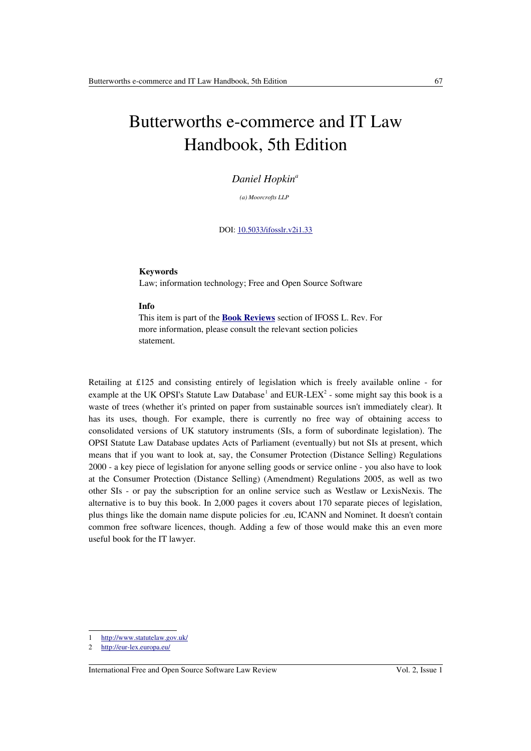# Butterworths e-commerce and IT Law Handbook, 5th Edition

### *Daniel Hopkin<sup>a</sup>*

*(a) Moorcrofts LLP* 

DOI: [10.5033/ifosslr.v2i1.33](http://dx.doi.org/10.5033/ifosslr.v2i1.33)

#### **Keywords**

Law; information technology; Free and Open Source Software

#### **Info**

This item is part of the **[Book Reviews](http://www.ifosslr.org/ifosslr/about/editorialPolicies#sectionPolicies)** section of IFOSS L. Rev. For more information, please consult the relevant section policies statement.

Retailing at £125 and consisting entirely of legislation which is freely available online - for example at the UK OPSI's Statute Law Database<sup>[1](#page-0-0)</sup> and EUR-LEX<sup>[2](#page-0-1)</sup> - some might say this book is a waste of trees (whether it's printed on paper from sustainable sources isn't immediately clear). It has its uses, though. For example, there is currently no free way of obtaining access to consolidated versions of UK statutory instruments (SIs, a form of subordinate legislation). The OPSI Statute Law Database updates Acts of Parliament (eventually) but not SIs at present, which means that if you want to look at, say, the Consumer Protection (Distance Selling) Regulations 2000 - a key piece of legislation for anyone selling goods or service online - you also have to look at the Consumer Protection (Distance Selling) (Amendment) Regulations 2005, as well as two other SIs - or pay the subscription for an online service such as Westlaw or LexisNexis. The alternative is to buy this book. In 2,000 pages it covers about 170 separate pieces of legislation, plus things like the domain name dispute policies for .eu, ICANN and Nominet. It doesn't contain common free software licences, though. Adding a few of those would make this an even more useful book for the IT lawyer.

<span id="page-0-0"></span><sup>1</sup><http://www.statutelaw.gov.uk/>

<span id="page-0-1"></span><sup>2</sup><http://eur-lex.europa.eu/>

International Free and Open Source Software Law Review Vol. 2, Issue 1